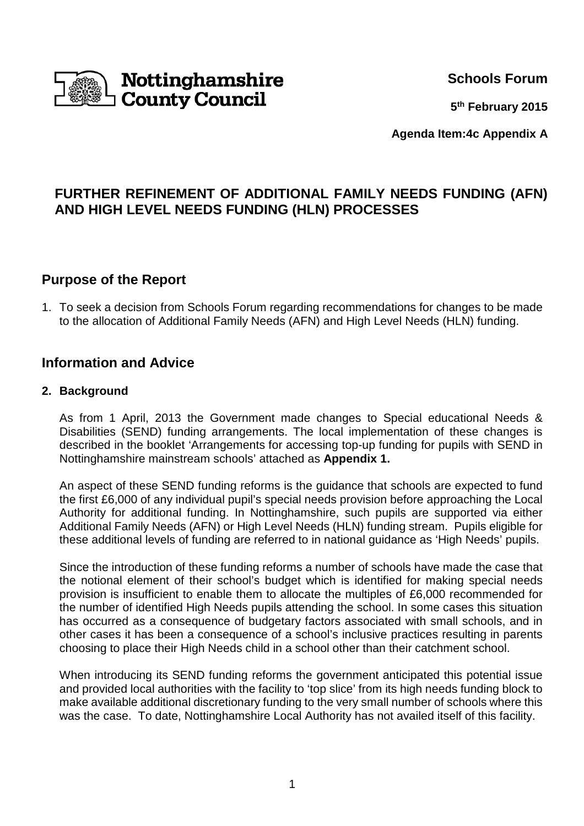

**Schools Forum**

**5 th February 2015**

**Agenda Item:4c Appendix A**

# **FURTHER REFINEMENT OF ADDITIONAL FAMILY NEEDS FUNDING (AFN) AND HIGH LEVEL NEEDS FUNDING (HLN) PROCESSES**

# **Purpose of the Report**

1. To seek a decision from Schools Forum regarding recommendations for changes to be made to the allocation of Additional Family Needs (AFN) and High Level Needs (HLN) funding.

## **Information and Advice**

#### **2. Background**

As from 1 April, 2013 the Government made changes to Special educational Needs & Disabilities (SEND) funding arrangements. The local implementation of these changes is described in the booklet 'Arrangements for accessing top-up funding for pupils with SEND in Nottinghamshire mainstream schools' attached as **Appendix 1.** 

An aspect of these SEND funding reforms is the guidance that schools are expected to fund the first £6,000 of any individual pupil's special needs provision before approaching the Local Authority for additional funding. In Nottinghamshire, such pupils are supported via either Additional Family Needs (AFN) or High Level Needs (HLN) funding stream. Pupils eligible for these additional levels of funding are referred to in national guidance as 'High Needs' pupils.

Since the introduction of these funding reforms a number of schools have made the case that the notional element of their school's budget which is identified for making special needs provision is insufficient to enable them to allocate the multiples of £6,000 recommended for the number of identified High Needs pupils attending the school. In some cases this situation has occurred as a consequence of budgetary factors associated with small schools, and in other cases it has been a consequence of a school's inclusive practices resulting in parents choosing to place their High Needs child in a school other than their catchment school.

When introducing its SEND funding reforms the government anticipated this potential issue and provided local authorities with the facility to 'top slice' from its high needs funding block to make available additional discretionary funding to the very small number of schools where this was the case. To date, Nottinghamshire Local Authority has not availed itself of this facility.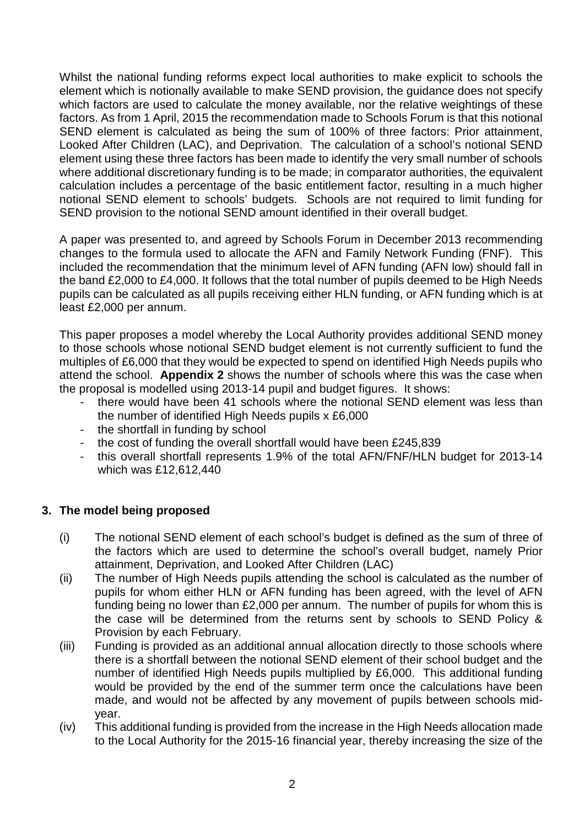Whilst the national funding reforms expect local authorities to make explicit to schools the element which is notionally available to make SEND provision, the guidance does not specify which factors are used to calculate the money available, nor the relative weightings of these factors. As from 1 April, 2015 the recommendation made to Schools Forum is that this notional SEND element is calculated as being the sum of 100% of three factors: Prior attainment, Looked After Children (LAC), and Deprivation. The calculation of a school's notional SEND element using these three factors has been made to identify the very small number of schools where additional discretionary funding is to be made; in comparator authorities, the equivalent calculation includes a percentage of the basic entitlement factor, resulting in a much higher notional SEND element to schools' budgets. Schools are not required to limit funding for SEND provision to the notional SEND amount identified in their overall budget.

A paper was presented to, and agreed by Schools Forum in December 2013 recommending changes to the formula used to allocate the AFN and Family Network Funding (FNF). This included the recommendation that the minimum level of AFN funding (AFN low) should fall in the band £2,000 to £4,000. It follows that the total number of pupils deemed to be High Needs pupils can be calculated as all pupils receiving either HLN funding, or AFN funding which is at least £2,000 per annum.

This paper proposes a model whereby the Local Authority provides additional SEND money to those schools whose notional SEND budget element is not currently sufficient to fund the multiples of £6,000 that they would be expected to spend on identified High Needs pupils who attend the school. **Appendix 2** shows the number of schools where this was the case when the proposal is modelled using 2013-14 pupil and budget figures. It shows:

- there would have been 41 schools where the notional SEND element was less than the number of identified High Needs pupils x £6,000
- the shortfall in funding by school
- the cost of funding the overall shortfall would have been £245,839
- this overall shortfall represents 1.9% of the total AFN/FNF/HLN budget for 2013-14 which was £12,612,440

### **3. The model being proposed**

- (i) The notional SEND element of each school's budget is defined as the sum of three of the factors which are used to determine the school's overall budget, namely Prior attainment, Deprivation, and Looked After Children (LAC)
- (ii) The number of High Needs pupils attending the school is calculated as the number of pupils for whom either HLN or AFN funding has been agreed, with the level of AFN funding being no lower than £2,000 per annum. The number of pupils for whom this is the case will be determined from the returns sent by schools to SEND Policy & Provision by each February.
- (iii) Funding is provided as an additional annual allocation directly to those schools where there is a shortfall between the notional SEND element of their school budget and the number of identified High Needs pupils multiplied by £6,000. This additional funding would be provided by the end of the summer term once the calculations have been made, and would not be affected by any movement of pupils between schools midyear.
- (iv) This additional funding is provided from the increase in the High Needs allocation made to the Local Authority for the 2015-16 financial year, thereby increasing the size of the